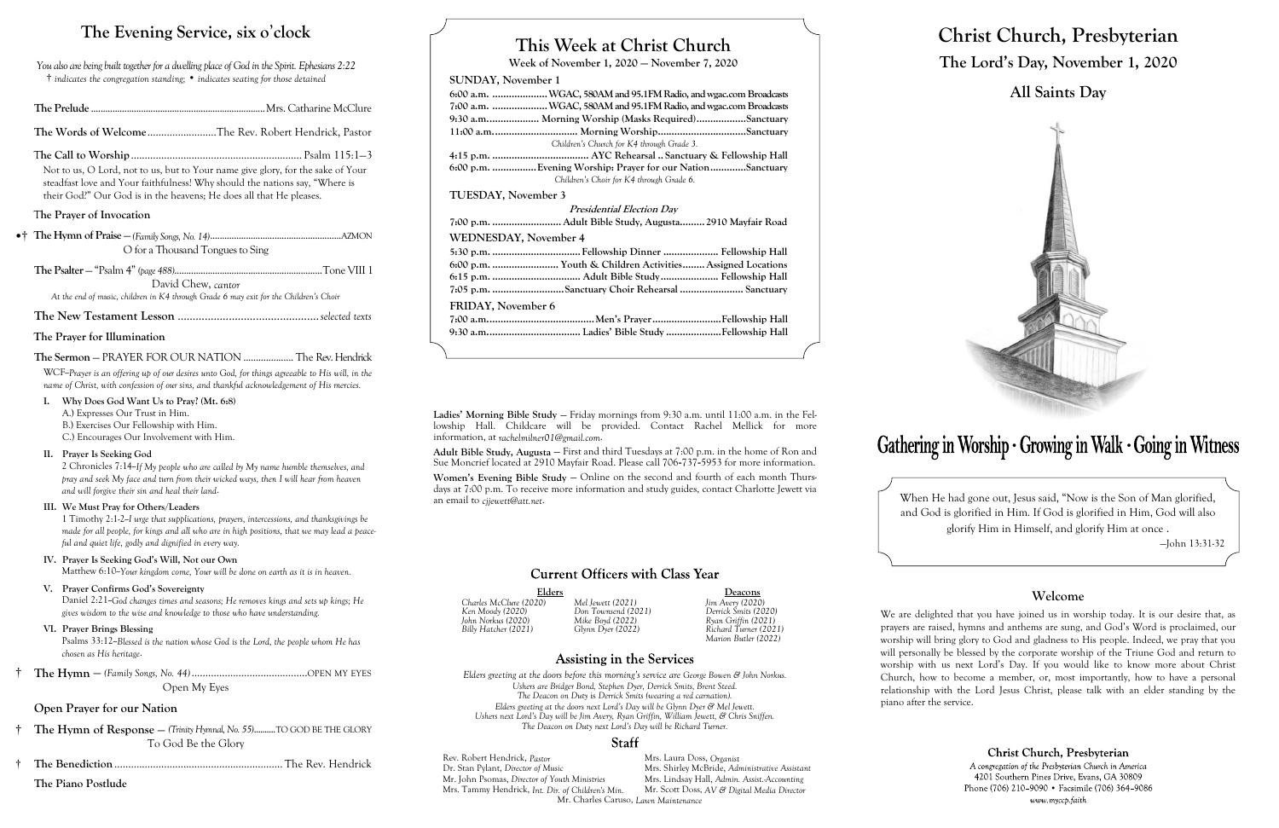# **This Week at Christ Church**

**Week of November 1, 2020 — November 7, 2020**

# **SUNDAY, November 1**

|                              | 6:00 a.m.  WGAC, 580AM and 95.1FM Radio, and wgac.com Broadcasts                                      |
|------------------------------|-------------------------------------------------------------------------------------------------------|
|                              | 7:00 a.m. WGAC, 580AM and 95.1FM Radio, and wgac.com Broadcasts                                       |
|                              | 9:30 a.m Morning Worship (Masks Required)Sanctuary                                                    |
|                              |                                                                                                       |
|                              | Children's Church for K4 through Grade 3.                                                             |
|                              |                                                                                                       |
|                              | 6:00 p.m. Evening Worship: Prayer for our NationSanctuary<br>Children's Choir for K4 through Grade 6. |
| <b>TUESDAY, November 3</b>   |                                                                                                       |
|                              | <b>Presidential Election Day</b>                                                                      |
|                              | 7:00 p.m.  Adult Bible Study, Augusta 2910 Mayfair Road                                               |
| <b>WEDNESDAY, November 4</b> |                                                                                                       |
|                              | 5:30 p.m. Fellowship Dinner  Fellowship Hall                                                          |
|                              | 6:00 p.m.  Youth & Children Activities Assigned Locations                                             |
|                              |                                                                                                       |
|                              | 7:05 p.m. Sanctuary Choir Rehearsal  Sanctuary                                                        |
| <b>FRIDAY, November 6</b>    |                                                                                                       |
|                              |                                                                                                       |
|                              |                                                                                                       |

Elders Deacons<br>
20) Mel Jewett (2021) Jim Avery (2020) *Billy Hatcher (2021) Glynn Dyer (2022) Richard Turner (2021) Marion Butler (2022)*

# **Assisting in the Services**

Rev. Robert Hendrick, *Pastor* Mrs. Laura Doss, *Organist* Dr. Stan Pylant, *Director of Music* Mrs. Shirley McBride, *Adm* Mrs. Shirley McBride, *Administrative Assistant*<br>Mrs. Lindsay Hall, *Admin. Assist. Accounting* Mr. John Psomas, *Director of Youth Ministries* Mrs. Lindsay Hall, *Admin. Assist.-Accounting* Mrs. Tammy Hendrick, *Int. Dir. of Children's Min.* Mr. Charles Caruso, *Lawn Maintenance*

# Gathering in Worship · Growing in Walk · Going in Witness

*Charles McClure (2020) Mel Jewett (2021) Jim Avery (2020)*

*Ken Moody (2020) Don Townsend (2021) Derrick Smits (2020) John Norkus (2020) Mike Boyd (2022) Ryan Griffin (2021)*

*Elders greeting at the doors before this morning's service are George Bowen & John Norkus. Ushers are Bridger Bond, Stephen Dyer, Derrick Smits, Brent Steed. The Deacon on Duty* is *Derrick Smits (wearing a red carnation). Elders greeting at the doors next Lord's Day will be Glynn Dyer & Mel Jewett. Ushers next Lord's Day will be Jim Avery, Ryan Griffin, William Jewett, & Chris Sniffen. The Deacon on Duty next Lord's Day will be Richard Turner.*

# **Staff**

# **Christ Church, Presbyterian The Lord's Day, November 1, 2020**

# **All Saints Day**



When He had gone out, Jesus said, "Now is the Son of Man glorified, and God is glorified in Him. If God is glorified in Him, God will also glorify Him in Himself, and glorify Him at once .



—John 13:31-32

## **Welcome**

Christ Church, Presbyterian

A congregation of the Presbyterian Church in America 4201 Southern Pines Drive, Evans, GA 30809 Phone (706) 210-9090 • Facsimile (706) 364-9086 www.myccp.faith

Psalms 33:12-Blessed is the nation whose God is the Lord, the people whom He has *chosen as His heritage*.

We are delighted that you have joined us in worship today. It is our desire that, as prayers are raised, hymns and anthems are sung, and God's Word is proclaimed, our worship will bring glory to God and gladness to His people. Indeed, we pray that you will personally be blessed by the corporate worship of the Triune God and return to worship with us next Lord's Day. If you would like to know more about Christ Church, how to become a member, or, most importantly, how to have a personal relationship with the Lord Jesus Christ, please talk with an elder standing by the piano after the service.

# **The Evening Service, six o**'**clock**

Women's Evening Bible Study – Online on the second and fourth of each month Thursdays at 7:00 p.m. To receive more information and study guides, contact Charlotte Jewett via an email to *cjjewett@att.net*.

# **Current Officers with Class Year**

*You also are being built together for a dwelling place of God in the Spirit. Ephesians 2:22* † *indicates the congregation standing;* • *indicates seating for those detained*

|--|--|--|

**The Words of Welcome**.........................The Rev. Robert Hendrick, Pastor

T**he Call to Worship**.............................................................. Psalm 115:1—3

Not to us, O Lord, not to us, but to Your name give glory, for the sake of Your steadfast love and Your faithfulness! Why should the nations say, "Where is their God?" Our God is in the heavens; He does all that He pleases.

# T**he Prayer of Invocation**

•† **The Hymn of Praise** — *(Family Songs, No. 14)*.......................................................AZMON O for a Thousand Tongues to Sing

**The Psalter** — "Psalm 4" *(page 488)*..............................................................Tone VIII 1 David Chew, *cantor*

*At the end of music, children in K4 through Grade 6 may exit for the Children's Choir*

**The New Testament Lesson** ...............................................*selected texts*

## **The Prayer for Illumination**

# **The Sermon** — PRAYER FOR OUR NATION .................... The Rev. Hendrick

WCF--*Prayer is an offering up of our desires unto God, for things agreeable to His will, in the name of Christ, with confession of our sins, and thankful acknowledgement of His mercies.*

**I. Why Does God Want Us to Pray? (Mt. 6:8)** A.) Expresses Our Trust in Him. B.) Exercises Our Fellowship with Him.

C.) Encourages Our Involvement with Him.

# **II. Prayer Is Seeking God**

2 Chronicles 7:14--*If My people who are called by My name humble themselves, and pray and seek My face and turn from their wicked ways, then I will hear from heaven and will forgive their sin and heal their land*.

## **III. We Must Pray for Others/Leaders**

1 Timothy 2:1-2--*I urge that supplications, prayers, intercessions, and thanksgivings be made for all people, for kings and all who are in high positions, that we may lead a peaceful and quiet life, godly and dignified in every way.*

# **IV. Prayer Is Seeking God's Will, Not our Own**

Matthew 6:10-*Your kingdom come. Your will be done on earth as it is in heaven.* 

## **V. Prayer Confirms God's Sovereignty**

Daniel 2:21--*God changes times and seasons; He removes kings and sets up kings; He gives wisdom to the wise and knowledge to those who have understanding.*

## **VI. Prayer Brings Blessing**

† **The Hymn** — *(Family Songs, No. 44)*..........................................OPEN MY EYES Open My Eyes

# **Open Prayer for our Nation**

- † **The Hymn of Response**  *(Trinity Hymnal, No. 55)*..........TO GOD BE THE GLORY To God Be the Glory
- † **The Benediction**............................................................. The Rev. Hendrick

**The Piano Postlude**

**Ladies' Morning Bible Study** — Friday mornings from 9:30 a.m. until 11:00 a.m. in the Fellowship Hall. Childcare will be provided. Contact Rachel Mellick for more information, at *rachelmilner01@gmail.com*.

**Adult Bible Study, Augusta** — First and third Tuesdays at 7:00 p.m. in the home of Ron and Sue Moncrief located at 2910 Mayfair Road. Please call 706-737-5953 for more information.